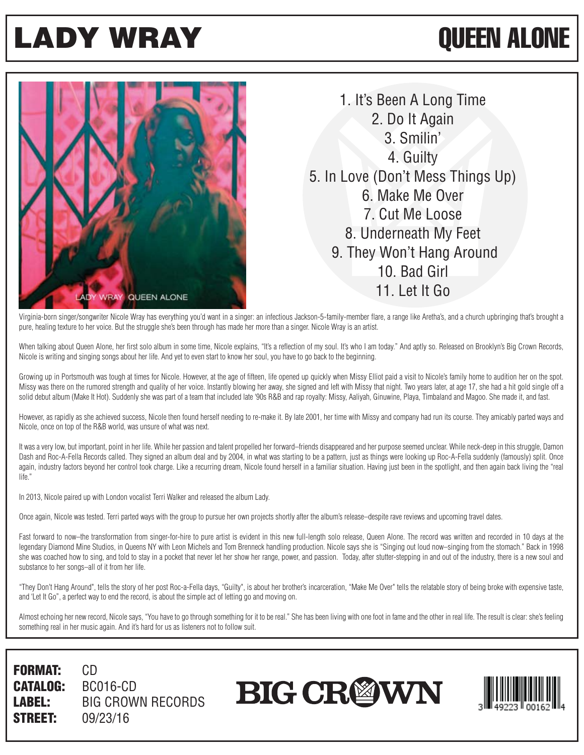## LADY WRAY QUEEN ALONE



1. It's Been A Long Time 2. Do It Again 3. Smilin' 4. Guilty 5. In Love (Don't Mess Things Up) 6. Make Me Over 7. Cut Me Loose 8. Underneath My Feet 9. They Won't Hang Around 10. Bad Girl 11. Let It Go

Virginia-born singer/songwriter Nicole Wray has everything you'd want in a singer: an infectious Jackson-5-family-member flare, a range like Aretha's, and a church upbringing that's brought a pure, healing texture to her voice. But the struggle she's been through has made her more than a singer. Nicole Wray is an artist.

When talking about Queen Alone, her first solo album in some time, Nicole explains, "It's a reflection of my soul. It's who I am today." And aptly so. Released on Brooklyn's Big Crown Records, Nicole is writing and singing songs about her life. And yet to even start to know her soul, you have to go back to the beginning.

Growing up in Portsmouth was tough at times for Nicole. However, at the age of fifteen, life opened up quickly when Missy Elliot paid a visit to Nicole's family home to audition her on the spot. Missy was there on the rumored strength and quality of her voice. Instantly blowing her away, she signed and left with Missy that night. Two years later, at age 17, she had a hit gold single off a solid debut album (Make It Hot). Suddenly she was part of a team that included late '90s R&B and rap royalty: Missy, Aaliyah, Ginuwine, Playa, Timbaland and Magoo. She made it, and fast.

However, as rapidly as she achieved success, Nicole then found herself needing to re-make it. By late 2001, her time with Missy and company had run its course. They amicably parted ways and Nicole, once on top of the R&B world, was unsure of what was next.

It was a very low, but important, point in her life. While her passion and talent propelled her forward–friends disappeared and her purpose seemed unclear. While neck-deep in this struggle, Damon Dash and Roc-A-Fella Records called. They signed an album deal and by 2004, in what was starting to be a pattern, just as things were looking up Roc-A-Fella suddenly (famously) split. Once again, industry factors beyond her control took charge. Like a recurring dream, Nicole found herself in a familiar situation. Having just been in the spotlight, and then again back living the "real life."

In 2013, Nicole paired up with London vocalist Terri Walker and released the album Lady.

Once again, Nicole was tested. Terri parted ways with the group to pursue her own projects shortly after the album's release–despite rave reviews and upcoming travel dates.

Fast forward to now–the transformation from singer-for-hire to pure artist is evident in this new full-length solo release, Queen Alone. The record was written and recorded in 10 days at the legendary Diamond Mine Studios, in Queens NY with Leon Michels and Tom Brenneck handling production. Nicole says she is "Singing out loud now-singing from the stomach." Back in 1998 she was coached how to sing, and told to stay in a pocket that never let her show her range, power, and passion. Today, after stutter-stepping in and out of the industry, there is a new soul and substance to her songs–all of it from her life.

"They Don't Hang Around", tells the story of her post Roc-a-Fella days, "Guilty", is about her brother's incarceration, "Make Me Over" tells the relatable story of being broke with expensive taste, and 'Let It Go", a perfect way to end the record, is about the simple act of letting go and moving on.

Almost echoing her new record, Nicole says, "You have to go through something for it to be real." She has been living with one foot in fame and the other in real life. The result is clear: she's feeling something real in her music again. And it's hard for us as listeners not to follow suit.

FORMAT: CD CATALOG: BC016-CD LABEL: BIG CROWN RECORDS **STREET:** 09/23/16

**BIG CRØWN**